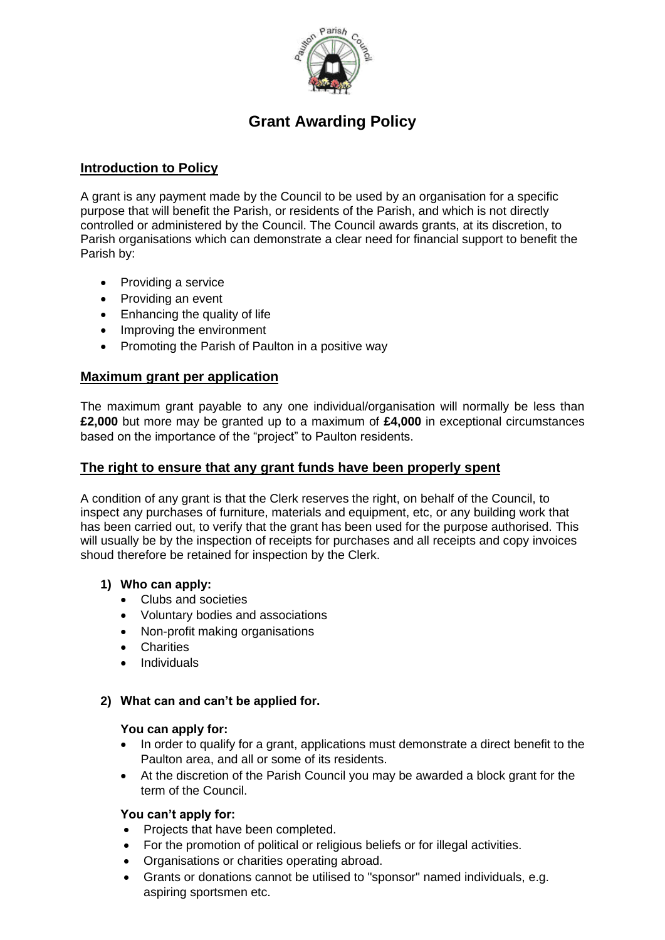

# **Grant Awarding Policy**

# **Introduction to Policy**

A grant is any payment made by the Council to be used by an organisation for a specific purpose that will benefit the Parish, or residents of the Parish, and which is not directly controlled or administered by the Council. The Council awards grants, at its discretion, to Parish organisations which can demonstrate a clear need for financial support to benefit the Parish by:

- Providing a service
- Providing an event
- Enhancing the quality of life
- Improving the environment
- Promoting the Parish of Paulton in a positive way

# **Maximum grant per application**

The maximum grant payable to any one individual/organisation will normally be less than **£2,000** but more may be granted up to a maximum of **£4,000** in exceptional circumstances based on the importance of the "project" to Paulton residents.

## **The right to ensure that any grant funds have been properly spent**

A condition of any grant is that the Clerk reserves the right, on behalf of the Council, to inspect any purchases of furniture, materials and equipment, etc, or any building work that has been carried out, to verify that the grant has been used for the purpose authorised. This will usually be by the inspection of receipts for purchases and all receipts and copy invoices shoud therefore be retained for inspection by the Clerk.

## **1) Who can apply:**

- Clubs and societies
- Voluntary bodies and associations
- Non-profit making organisations
- Charities
- Individuals

#### **2) What can and can't be applied for.**

#### **You can apply for:**

- In order to qualify for a grant, applications must demonstrate a direct benefit to the Paulton area, and all or some of its residents.
- At the discretion of the Parish Council you may be awarded a block grant for the term of the Council.

## **You can't apply for:**

- Projects that have been completed.
- For the promotion of political or religious beliefs or for illegal activities.
- Organisations or charities operating abroad.
- Grants or donations cannot be utilised to "sponsor" named individuals, e.g. aspiring sportsmen etc.